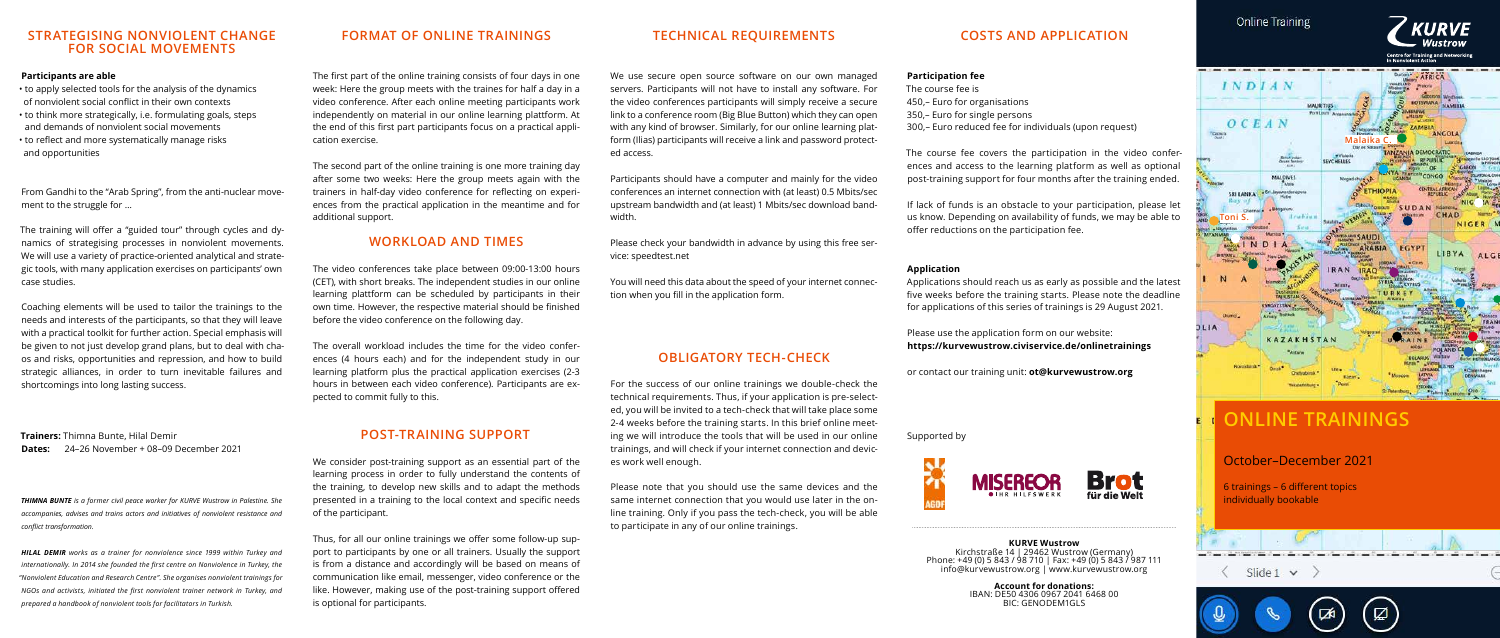# **COSTS AND APPLICATION**

### **Participation fee**

The course fee is 450,– Euro for organisations

- 
- 350,– Euro for single persons
- 300,– Euro reduced fee for individuals (upon request)

The course fee covers the participation in the video conferences and access to the learning platform as well as optional post-training support for four months after the training ended.

If lack of funds is an obstacle to your participation, please let us know. Depending on availability of funds, we may be able to offer reductions on the participation fee.

**Application**

Applications should reach us as early as possible and the latest five weeks before the training starts. Please note the deadline for applications of this series of trainings is 29 August 2021.

Please use the application form on our website: **<https://kurvewustrow.civiservice.de/onlinetrainings>**

or contact our training unit: **ot@kurvewustrow.org**



Supported by

#### **KURVE Wustrow**

Kirchstraße 14 | 29462 Wustrow (Germany) Phone: +49 (0) 5 843 / 98 710 | Fax: +49 (0) 5 843 / 987 111 [info@kurvewustrow.org](mailto:info@kurvewustrow.org) |<www.kurvewustrow.org>

> **Account for donations:** IBAN: DE50 4306 0967 2041 6468 00 BIC: GENODEM1GLS

The first part of the online training consists of four days in one week: Here the group meets with the traines for half a day in a video conference. After each online meeting participants work independently on material in our online learning plattform. At the end of this first part participants focus on a practical application exercise.

The second part of the online training is one more training day after some two weeks: Here the group meets again with the trainers in half-day video conference for reflecting on experiences from the practical application in the meantime and for additional support.

### **Participants are able**

- to apply selected tools for the analysis of the dynamics of nonviolent social conflict in their own contexts
- to think more strategically, i.e. formulating goals, steps
- and demands of nonviolent social movements
- to reflect and more systematically manage risks and opportunities

From Gandhi to the "Arab Spring", from the anti-nuclear movement to the struggle for …

The training will offer a "guided tour" through cycles and dynamics of strategising processes in nonviolent movements. We will use a variety of practice-oriented analytical and strategic tools, with many application exercises on participants' own case studies.

Coaching elements will be used to tailor the trainings to the needs and interests of the participants, so that they will leave with a practical toolkit for further action. Special emphasis will be given to not just develop grand plans, but to deal with chaos and risks, opportunities and repression, and how to build strategic alliances, in order to turn inevitable failures and shortcomings into long lasting success.

**Trainers:** Thimna Bunte, Hilal Demir **Dates:** 24–26 November + 08–09 December 2021

*THIMNA BUNTE is a former civil peace worker for KURVE Wustrow in Palestine. She accompanies, advises and trains actors and initiatives of nonviolent resistance and conflict transformation.*

*HILAL DEMIR works as a trainer for nonviolence since 1999 within Turkey and internationally. In 2014 she founded the first centre on Nonviolence in Turkey, the "Nonviolent Education and Research Centre". She organises nonviolent trainings for NGOs and activists, initiated the first nonviolent trainer network in Turkey, and prepared a handbook of nonviolent tools for facilitators in Turkish.*

## **STRATEGISING NONVIOLENT CHANGE FOR SOCIAL MOVEMENTS**

We use secure open source software on our own managed servers. Participants will not have to install any software. For the video conferences participants will simply receive a secure link to a conference room (Big Blue Button) which they can open with any kind of browser. Similarly, for our online learning platform (Ilias) participants will receive a link and password protect-

ed access.

Participants should have a computer and mainly for the video conferences an internet connection with (at least) 0.5 Mbits/sec upstream bandwidth and (at least) 1 Mbits/sec download band-

width.

Please check your bandwidth in advance by using this free service: speedtest.net

You will need this data about the speed of your internet connection when you fill in the application form.

# **FORMAT OF ONLINE TRAININGS TECHNICAL REQUIREMENTS**

## **OBLIGATORY TECH-CHECK**

For the success of our online trainings we double-check the technical requirements. Thus, if your application is pre-selected, you will be invited to a tech-check that will take place some 2-4 weeks before the training starts. In this brief online meeting we will introduce the tools that will be used in our online trainings, and will check if your internet connection and devices work well enough.

Please note that you should use the same devices and the same internet connection that you would use later in the online training. Only if you pass the tech-check, you will be able to participate in any of our online trainings.

## **POST-TRAINING SUPPORT**

We consider post-training support as an essential part of the learning process in order to fully understand the contents of the training, to develop new skills and to adapt the methods presented in a training to the local context and specific needs of the participant.

Thus, for all our online trainings we offer some follow-up support to participants by one or all trainers. Usually the support is from a distance and accordingly will be based on means of communication like email, messenger, video conference or the like. However, making use of the post-training support offered is optional for participants.

# **ONLINE TRAININGS**

ีผ

凾

# October–December 2021

6 trainings – 6 different topics individually bookable

 $\langle$  Slide 1  $\vee$  )



# **WORKLOAD AND TIMES**

The video conferences take place between 09:00-13:00 hours (CET), with short breaks. The independent studies in our online learning plattform can be scheduled by participants in their own time. However, the respective material should be finished before the video conference on the following day.

The overall workload includes the time for the video conferences (4 hours each) and for the independent study in our learning platform plus the practical application exercises (2-3 hours in between each video conference). Participants are expected to commit fully to this.